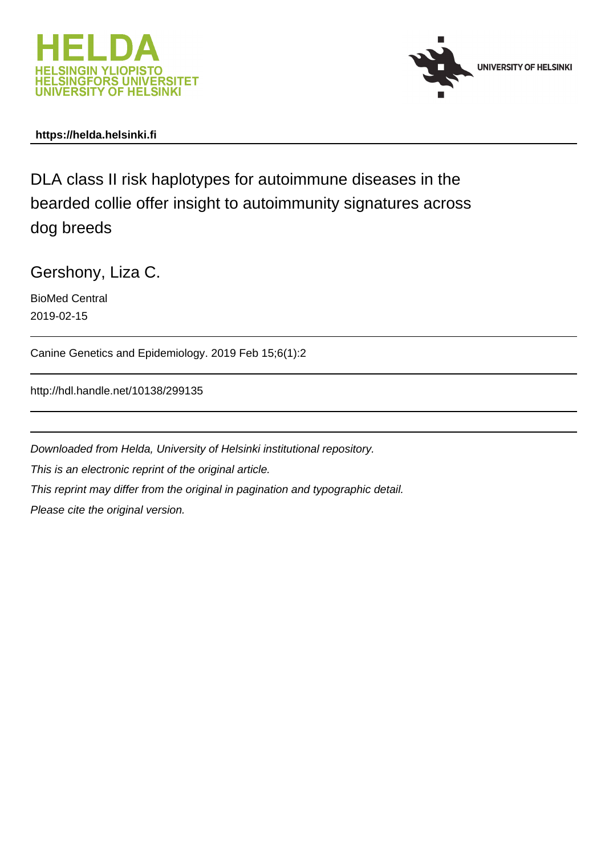



# **https://helda.helsinki.fi**

DLA class II risk haplotypes for autoimmune diseases in the bearded collie offer insight to autoimmunity signatures across dog breeds

Gershony, Liza C.

BioMed Central 2019-02-15

Canine Genetics and Epidemiology. 2019 Feb 15;6(1):2

http://hdl.handle.net/10138/299135

Downloaded from Helda, University of Helsinki institutional repository. This is an electronic reprint of the original article. This reprint may differ from the original in pagination and typographic detail. Please cite the original version.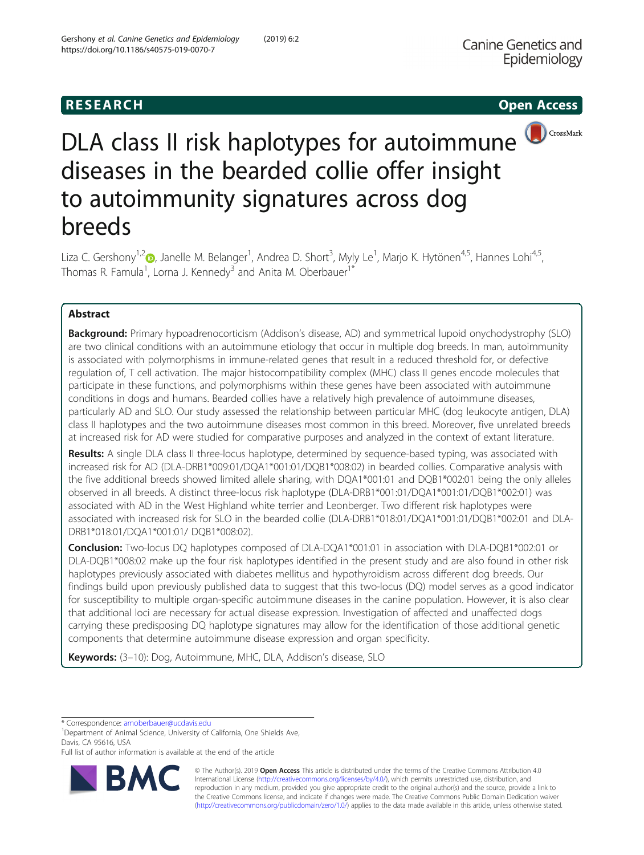# **RESEARCH CHINESE ARCH CHINESE ARCH**



# DLA class II risk haplotypes for autoimmune diseases in the bearded collie offer insight to autoimmunity signatures across dog breeds

Liza C. Gershony<sup>1,2</sup> (b), Janelle M. Belanger<sup>1</sup>, Andrea D. Short<sup>3</sup>, Myly Le<sup>1</sup>, Marjo K. Hytönen<sup>4,5</sup>, Hannes Lohi<sup>4,5</sup>, Thomas R. Famula<sup>1</sup>, Lorna J. Kennedy<sup>3</sup> and Anita M. Oberbauer<sup>1\*</sup>

# Abstract

**Background:** Primary hypoadrenocorticism (Addison's disease, AD) and symmetrical lupoid onychodystrophy (SLO) are two clinical conditions with an autoimmune etiology that occur in multiple dog breeds. In man, autoimmunity is associated with polymorphisms in immune-related genes that result in a reduced threshold for, or defective regulation of, T cell activation. The major histocompatibility complex (MHC) class II genes encode molecules that participate in these functions, and polymorphisms within these genes have been associated with autoimmune conditions in dogs and humans. Bearded collies have a relatively high prevalence of autoimmune diseases, particularly AD and SLO. Our study assessed the relationship between particular MHC (dog leukocyte antigen, DLA) class II haplotypes and the two autoimmune diseases most common in this breed. Moreover, five unrelated breeds at increased risk for AD were studied for comparative purposes and analyzed in the context of extant literature.

Results: A single DLA class II three-locus haplotype, determined by sequence-based typing, was associated with increased risk for AD (DLA-DRB1\*009:01/DQA1\*001:01/DQB1\*008:02) in bearded collies. Comparative analysis with the five additional breeds showed limited allele sharing, with DQA1\*001:01 and DQB1\*002:01 being the only alleles observed in all breeds. A distinct three-locus risk haplotype (DLA-DRB1\*001:01/DQA1\*001:01/DQB1\*002:01) was associated with AD in the West Highland white terrier and Leonberger. Two different risk haplotypes were associated with increased risk for SLO in the bearded collie (DLA-DRB1\*018:01/DQA1\*001:01/DQB1\*002:01 and DLA-DRB1\*018:01/DQA1\*001:01/ DQB1\*008:02).

Conclusion: Two-locus DQ haplotypes composed of DLA-DQA1\*001:01 in association with DLA-DQB1\*002:01 or DLA-DQB1\*008:02 make up the four risk haplotypes identified in the present study and are also found in other risk haplotypes previously associated with diabetes mellitus and hypothyroidism across different dog breeds. Our findings build upon previously published data to suggest that this two-locus (DQ) model serves as a good indicator for susceptibility to multiple organ-specific autoimmune diseases in the canine population. However, it is also clear that additional loci are necessary for actual disease expression. Investigation of affected and unaffected dogs carrying these predisposing DQ haplotype signatures may allow for the identification of those additional genetic components that determine autoimmune disease expression and organ specificity.

Keywords: (3-10): Dog, Autoimmune, MHC, DLA, Addison's disease, SLO

\* Correspondence: [amoberbauer@ucdavis.edu](mailto:amoberbauer@ucdavis.edu) <sup>1</sup>

<sup>1</sup>Department of Animal Science, University of California, One Shields Ave, Davis, CA 95616, USA

Full list of author information is available at the end of the article



© The Author(s). 2019 **Open Access** This article is distributed under the terms of the Creative Commons Attribution 4.0 International License [\(http://creativecommons.org/licenses/by/4.0/](http://creativecommons.org/licenses/by/4.0/)), which permits unrestricted use, distribution, and reproduction in any medium, provided you give appropriate credit to the original author(s) and the source, provide a link to the Creative Commons license, and indicate if changes were made. The Creative Commons Public Domain Dedication waiver [\(http://creativecommons.org/publicdomain/zero/1.0/](http://creativecommons.org/publicdomain/zero/1.0/)) applies to the data made available in this article, unless otherwise stated.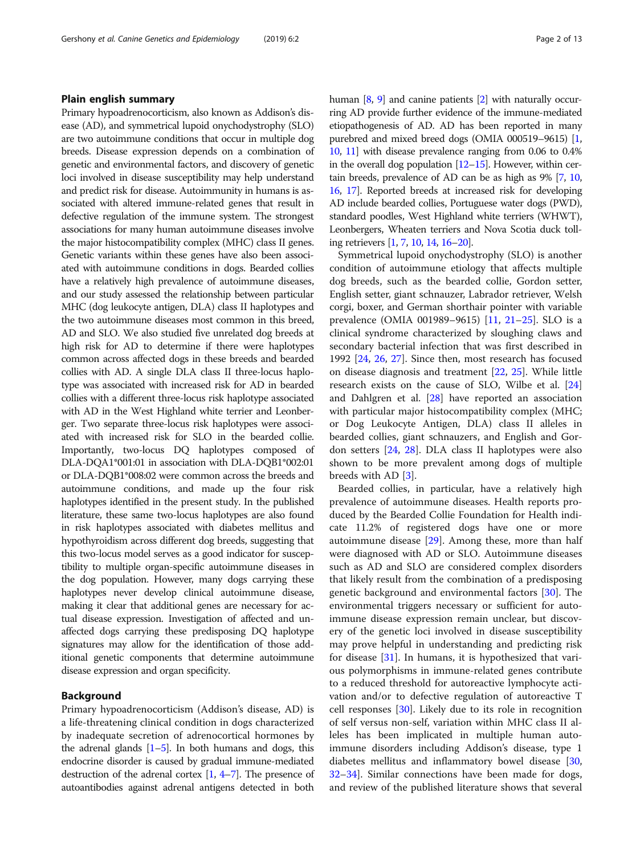# Plain english summary

Primary hypoadrenocorticism, also known as Addison's disease (AD), and symmetrical lupoid onychodystrophy (SLO) are two autoimmune conditions that occur in multiple dog breeds. Disease expression depends on a combination of genetic and environmental factors, and discovery of genetic loci involved in disease susceptibility may help understand and predict risk for disease. Autoimmunity in humans is associated with altered immune-related genes that result in defective regulation of the immune system. The strongest associations for many human autoimmune diseases involve the major histocompatibility complex (MHC) class II genes. Genetic variants within these genes have also been associated with autoimmune conditions in dogs. Bearded collies have a relatively high prevalence of autoimmune diseases, and our study assessed the relationship between particular MHC (dog leukocyte antigen, DLA) class II haplotypes and the two autoimmune diseases most common in this breed, AD and SLO. We also studied five unrelated dog breeds at high risk for AD to determine if there were haplotypes common across affected dogs in these breeds and bearded collies with AD. A single DLA class II three-locus haplotype was associated with increased risk for AD in bearded collies with a different three-locus risk haplotype associated with AD in the West Highland white terrier and Leonberger. Two separate three-locus risk haplotypes were associated with increased risk for SLO in the bearded collie. Importantly, two-locus DQ haplotypes composed of DLA-DQA1\*001:01 in association with DLA-DQB1\*002:01 or DLA-DQB1\*008:02 were common across the breeds and autoimmune conditions, and made up the four risk haplotypes identified in the present study. In the published literature, these same two-locus haplotypes are also found in risk haplotypes associated with diabetes mellitus and hypothyroidism across different dog breeds, suggesting that this two-locus model serves as a good indicator for susceptibility to multiple organ-specific autoimmune diseases in the dog population. However, many dogs carrying these haplotypes never develop clinical autoimmune disease, making it clear that additional genes are necessary for actual disease expression. Investigation of affected and unaffected dogs carrying these predisposing DQ haplotype signatures may allow for the identification of those additional genetic components that determine autoimmune disease expression and organ specificity.

# Background

Primary hypoadrenocorticism (Addison's disease, AD) is a life-threatening clinical condition in dogs characterized by inadequate secretion of adrenocortical hormones by the adrenal glands  $[1–5]$ . In both humans and dogs, this endocrine disorder is caused by gradual immune-mediated destruction of the adrenal cortex  $[1, 4-7]$ . The presence of autoantibodies against adrenal antigens detected in both human [8, 9] and canine patients [2] with naturally occurring AD provide further evidence of the immune-mediated etiopathogenesis of AD. AD has been reported in many purebred and mixed breed dogs (OMIA 000519–9615) [1, 10, 11] with disease prevalence ranging from 0.06 to 0.4% in the overall dog population [12–15]. However, within certain breeds, prevalence of AD can be as high as 9% [7, 10, 16, 17]. Reported breeds at increased risk for developing AD include bearded collies, Portuguese water dogs (PWD), standard poodles, West Highland white terriers (WHWT), Leonbergers, Wheaten terriers and Nova Scotia duck tolling retrievers [1, 7, 10, 14, 16–20].

Symmetrical lupoid onychodystrophy (SLO) is another condition of autoimmune etiology that affects multiple dog breeds, such as the bearded collie, Gordon setter, English setter, giant schnauzer, Labrador retriever, Welsh corgi, boxer, and German shorthair pointer with variable prevalence (OMIA 001989–9615) [11, 21–25]. SLO is a clinical syndrome characterized by sloughing claws and secondary bacterial infection that was first described in 1992 [24, 26, 27]. Since then, most research has focused on disease diagnosis and treatment [22, 25]. While little research exists on the cause of SLO, Wilbe et al. [24] and Dahlgren et al. [28] have reported an association with particular major histocompatibility complex (MHC; or Dog Leukocyte Antigen, DLA) class II alleles in bearded collies, giant schnauzers, and English and Gordon setters [24, 28]. DLA class II haplotypes were also shown to be more prevalent among dogs of multiple breeds with AD [3].

Bearded collies, in particular, have a relatively high prevalence of autoimmune diseases. Health reports produced by the Bearded Collie Foundation for Health indicate 11.2% of registered dogs have one or more autoimmune disease [29]. Among these, more than half were diagnosed with AD or SLO. Autoimmune diseases such as AD and SLO are considered complex disorders that likely result from the combination of a predisposing genetic background and environmental factors [30]. The environmental triggers necessary or sufficient for autoimmune disease expression remain unclear, but discovery of the genetic loci involved in disease susceptibility may prove helpful in understanding and predicting risk for disease  $[31]$ . In humans, it is hypothesized that various polymorphisms in immune-related genes contribute to a reduced threshold for autoreactive lymphocyte activation and/or to defective regulation of autoreactive T cell responses [30]. Likely due to its role in recognition of self versus non-self, variation within MHC class II alleles has been implicated in multiple human autoimmune disorders including Addison's disease, type 1 diabetes mellitus and inflammatory bowel disease [30, 32–34]. Similar connections have been made for dogs, and review of the published literature shows that several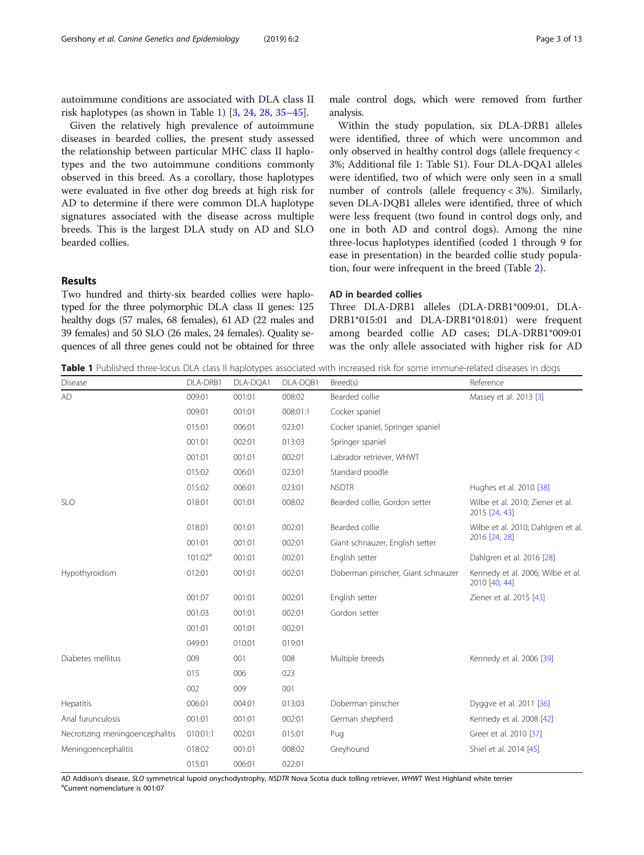autoimmune conditions are associated with DLA class II risk haplotypes (as shown in Table 1) [3, 24, 28, 35–45].

Given the relatively high prevalence of autoimmune diseases in bearded collies, the present study assessed the relationship between particular MHC class II haplotypes and the two autoimmune conditions commonly observed in this breed. As a corollary, those haplotypes were evaluated in five other dog breeds at high risk for AD to determine if there were common DLA haplotype signatures associated with the disease across multiple breeds. This is the largest DLA study on AD and SLO bearded collies.

#### Results

Two hundred and thirty-six bearded collies were haplotyped for the three polymorphic DLA class II genes: 125 healthy dogs (57 males, 68 females), 61 AD (22 males and 39 females) and 50 SLO (26 males, 24 females). Quality sequences of all three genes could not be obtained for three male control dogs, which were removed from further analysis.

Within the study population, six DLA-DRB1 alleles were identified, three of which were uncommon and only observed in healthy control dogs (allele frequency < 3%; Additional file 1: Table S1). Four DLA-DQA1 alleles were identified, two of which were only seen in a small number of controls (allele frequency < 3%). Similarly, seven DLA-DQB1 alleles were identified, three of which were less frequent (two found in control dogs only, and one in both AD and control dogs). Among the nine three-locus haplotypes identified (coded 1 through 9 for ease in presentation) in the bearded collie study population, four were infrequent in the breed (Table 2).

# AD in bearded collies

Three DLA-DRB1 alleles (DLA-DRB1\*009:01, DLA-DRB1\*015:01 and DLA-DRB1\*018:01) were frequent among bearded collie AD cases; DLA-DRB1\*009:01 was the only allele associated with higher risk for AD

Table 1 Published three-locus DLA class II haplotypes associated with increased risk for some immune-related diseases in dogs

| Disease                         | DLA-DRB1   | DLA-DQA1 | DLA-DQB1 | Breed(s)                           | Reference                                          |  |  |
|---------------------------------|------------|----------|----------|------------------------------------|----------------------------------------------------|--|--|
| AD                              | 009:01     | 001:01   | 008:02   | Bearded collie                     | Massey et al. 2013 [3]                             |  |  |
|                                 | 009:01     | 001:01   | 008:01:1 | Cocker spaniel                     |                                                    |  |  |
|                                 | 015:01     | 006:01   | 023:01   | Cocker spaniel, Springer spaniel   |                                                    |  |  |
|                                 | 001:01     | 002:01   | 013:03   | Springer spaniel                   |                                                    |  |  |
|                                 | 001:01     | 001:01   | 002:01   | Labrador retriever, WHWT           |                                                    |  |  |
|                                 | 015:02     | 006:01   | 023:01   | Standard poodle                    |                                                    |  |  |
|                                 | 015:02     | 006:01   | 023:01   | <b>NSDTR</b>                       | Hughes et al. 2010 [38]                            |  |  |
| <b>SLO</b>                      | 018:01     | 001:01   | 008:02   | Bearded collie, Gordon setter      | Wilbe et al. 2010; Ziener et al.<br>2015 [24, 43]  |  |  |
|                                 | 018:01     | 001:01   | 002:01   | Bearded collie                     | Wilbe et al. 2010; Dahlgren et al                  |  |  |
|                                 | 001:01     | 001:01   | 002:01   | Giant schnauzer, English setter    | 2016 [24, 28]                                      |  |  |
|                                 | $101:02^a$ | 001:01   | 002:01   | English setter                     | Dahlgren et al. 2016 [28]                          |  |  |
| Hypothyroidism                  | 012:01     | 001:01   | 002:01   | Doberman pinscher, Giant schnauzer | Kennedy et al. 2006; Wilbe et al.<br>2010 [40, 44] |  |  |
|                                 | 001:07     | 001:01   | 002:01   | English setter                     | Ziener et al. 2015 [43]                            |  |  |
|                                 | 001:03     | 001:01   | 002:01   | Gordon setter                      |                                                    |  |  |
|                                 | 001:01     | 001:01   | 002:01   |                                    |                                                    |  |  |
|                                 | 049:01     | 010:01   | 019:01   |                                    |                                                    |  |  |
| Diabetes mellitus               | 009        | 001      | 008      | Multiple breeds                    | Kennedy et al. 2006 [39]                           |  |  |
|                                 | 015        | 006      | 023      |                                    |                                                    |  |  |
|                                 | 002        | 009      | 001      |                                    |                                                    |  |  |
| Hepatitis                       | 006:01     | 004:01   | 013:03   | Doberman pinscher                  | Dyggve et al. 2011 [36]                            |  |  |
| Anal furunculosis               | 001:01     | 001:01   | 002:01   | German shepherd                    | Kennedy et al. 2008 [42]                           |  |  |
| Necrotizing meningoencephalitis | 010:01:1   | 002:01   | 015:01   | Pug                                | Greer et al. 2010 [37]                             |  |  |
| Meningoencephalitis             | 018:02     | 001:01   | 008:02   | Greyhound                          | Shiel et al. 2014 [45]                             |  |  |
|                                 | 015:01     | 006:01   | 022:01   |                                    |                                                    |  |  |

AD Addison's disease, SLO symmetrical lupoid onychodystrophy, NSDTR Nova Scotia duck tolling retriever, WHWT West Highland white terrier <sup>a</sup>Current nomenclature is 001:07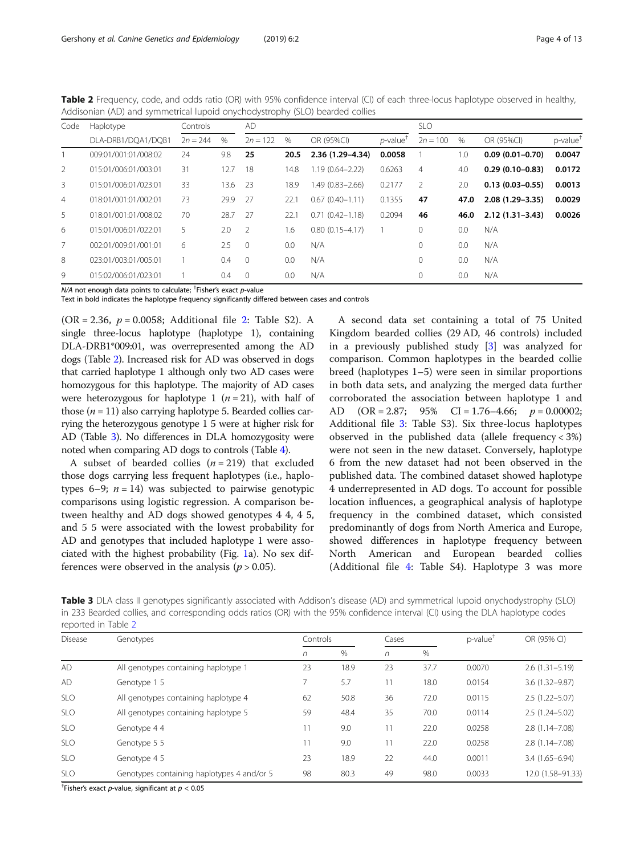|      | Addisonian (AD) and symmetrical lupold onychodystrophy (SLO) bearded collies |            |      |                |      |                     |                         |            |            |                     |                |  |
|------|------------------------------------------------------------------------------|------------|------|----------------|------|---------------------|-------------------------|------------|------------|---------------------|----------------|--|
| Code | Haplotype                                                                    | Controls   |      | AD             |      |                     |                         |            | <b>SLO</b> |                     |                |  |
|      | DLA-DRB1/DOA1/DOB1                                                           | $2n = 244$ | $\%$ | $2n = 122$     | $\%$ | OR (95%CI)          | $p$ -value <sup>T</sup> | $2n = 100$ | $\%$       | OR (95%CI)          | $p$ -value $†$ |  |
|      | 009:01/001:01/008:02                                                         | 24         | 9.8  | 25             | 20.5 | $2.36(1.29 - 4.34)$ | 0.0058                  |            | 1.0        | $0.09(0.01 - 0.70)$ | 0.0047         |  |
| 2    | 015:01/006:01/003:01                                                         | 31         | 12.7 | 18             | 14.8 | $1.19(0.64 - 2.22)$ | 0.6263                  | 4          | 4.0        | $0.29(0.10-0.83)$   | 0.0172         |  |
| 3    | 015:01/006:01/023:01                                                         | 33         | 13.6 | 23             | 18.9 | 1.49 (0.83-2.66)    | 0.2177                  | 2          | 2.0        | $0.13(0.03 - 0.55)$ | 0.0013         |  |
| 4    | 018:01/001:01/002:01                                                         | 73         | 29.9 | -27            | 22.1 | $0.67(0.40 - 1.11)$ | 0.1355                  | 47         | 47.0       | $2.08(1.29 - 3.35)$ | 0.0029         |  |
| 5    | 018:01/001:01/008:02                                                         | 70         | 28.7 | -27            | 22.1 | $0.71(0.42 - 1.18)$ | 0.2094                  | 46         | 46.0       | $2.12(1.31 - 3.43)$ | 0.0026         |  |
| 6    | 015:01/006:01/022:01                                                         | 5          | 2.0  | $\overline{2}$ | 1.6  | $0.80(0.15 - 4.17)$ |                         | 0          | 0.0        | N/A                 |                |  |
|      | 002:01/009:01/001:01                                                         | 6          | 2.5  | $\Omega$       | 0.0  | N/A                 |                         | 0          | 0.0        | N/A                 |                |  |
| 8    | 023:01/003:01/005:01                                                         |            | 0.4  | $\Omega$       | 0.0  | N/A                 |                         | 0          | 0.0        | N/A                 |                |  |
| 9    | 015:02/006:01/023:01                                                         |            | 0.4  | $\Omega$       | 0.0  | N/A                 |                         | $\Omega$   | 0.0        | N/A                 |                |  |

Table 2 Frequency, code, and odds ratio (OR) with 95% confidence interval (CI) of each three-locus haplotype observed in healthy,  $choductrophu(G|O)$  bearded to summatrical distribution on  $Stab$ 

N/A not enough data points to calculate; <sup>†</sup>Fisher's exact *p*-value

Text in bold indicates the haplotype frequency significantly differed between cases and controls

(OR = 2.36,  $p = 0.0058$ ; Additional file 2: Table S2). A single three-locus haplotype (haplotype 1), containing DLA-DRB1\*009:01, was overrepresented among the AD dogs (Table 2). Increased risk for AD was observed in dogs that carried haplotype 1 although only two AD cases were homozygous for this haplotype. The majority of AD cases were heterozygous for haplotype 1 ( $n = 21$ ), with half of those  $(n = 11)$  also carrying haplotype 5. Bearded collies carrying the heterozygous genotype 1 5 were at higher risk for AD (Table 3). No differences in DLA homozygosity were noted when comparing AD dogs to controls (Table 4).

A subset of bearded collies  $(n = 219)$  that excluded those dogs carrying less frequent haplotypes (i.e., haplotypes 6–9;  $n = 14$ ) was subjected to pairwise genotypic comparisons using logistic regression. A comparison between healthy and AD dogs showed genotypes 4 4, 4 5, and 5 5 were associated with the lowest probability for AD and genotypes that included haplotype 1 were associated with the highest probability (Fig. 1a). No sex differences were observed in the analysis ( $p > 0.05$ ).

A second data set containing a total of 75 United Kingdom bearded collies (29 AD, 46 controls) included in a previously published study [3] was analyzed for comparison. Common haplotypes in the bearded collie breed (haplotypes 1–5) were seen in similar proportions in both data sets, and analyzing the merged data further corroborated the association between haplotype 1 and AD  $(OR = 2.87; 95\% \text{ CI} = 1.76 - 4.66; p = 0.00002;$ Additional file 3: Table S3). Six three-locus haplotypes observed in the published data (allele frequency < 3%) were not seen in the new dataset. Conversely, haplotype 6 from the new dataset had not been observed in the published data. The combined dataset showed haplotype 4 underrepresented in AD dogs. To account for possible location influences, a geographical analysis of haplotype frequency in the combined dataset, which consisted predominantly of dogs from North America and Europe, showed differences in haplotype frequency between North American and European bearded collies (Additional file 4: Table S4). Haplotype 3 was more

Table 3 DLA class II genotypes significantly associated with Addison's disease (AD) and symmetrical lupoid onychodystrophy (SLO) in 233 Bearded collies, and corresponding odds ratios (OR) with the 95% confidence interval (CI) using the DLA haplotype codes reported in Table 2

| Disease    | Genotypes                                  |    | Controls |    |      | $p$ -value <sup>1</sup> | OR (95% CI)        |
|------------|--------------------------------------------|----|----------|----|------|-------------------------|--------------------|
|            |                                            | n  | %        | n  | %    |                         |                    |
| AD         | All genotypes containing haplotype 1       | 23 | 18.9     | 23 | 37.7 | 0.0070                  | $2.6(1.31 - 5.19)$ |
| AD         | Genotype 1 5                               |    | 5.7      | 11 | 18.0 | 0.0154                  | $3.6(1.32 - 9.87)$ |
| <b>SLO</b> | All genotypes containing haplotype 4       | 62 | 50.8     | 36 | 72.0 | 0.0115                  | $2.5(1.22 - 5.07)$ |
| <b>SLO</b> | All genotypes containing haplotype 5       | 59 | 48.4     | 35 | 70.0 | 0.0114                  | $2.5(1.24 - 5.02)$ |
| <b>SLO</b> | Genotype 44                                | 11 | 9.0      | 11 | 22.0 | 0.0258                  | $2.8(1.14 - 7.08)$ |
| <b>SLO</b> | Genotype 5 5                               | 11 | 9.0      | 11 | 22.0 | 0.0258                  | $2.8(1.14 - 7.08)$ |
| <b>SLO</b> | Genotype 4 5                               | 23 | 18.9     | 22 | 44.0 | 0.0011                  | $3.4(1.65 - 6.94)$ |
| <b>SLO</b> | Genotypes containing haplotypes 4 and/or 5 | 98 | 80.3     | 49 | 98.0 | 0.0033                  | 12.0 (1.58-91.33)  |

<sup>†</sup>Fisher's exact p-value, significant at  $p < 0.05$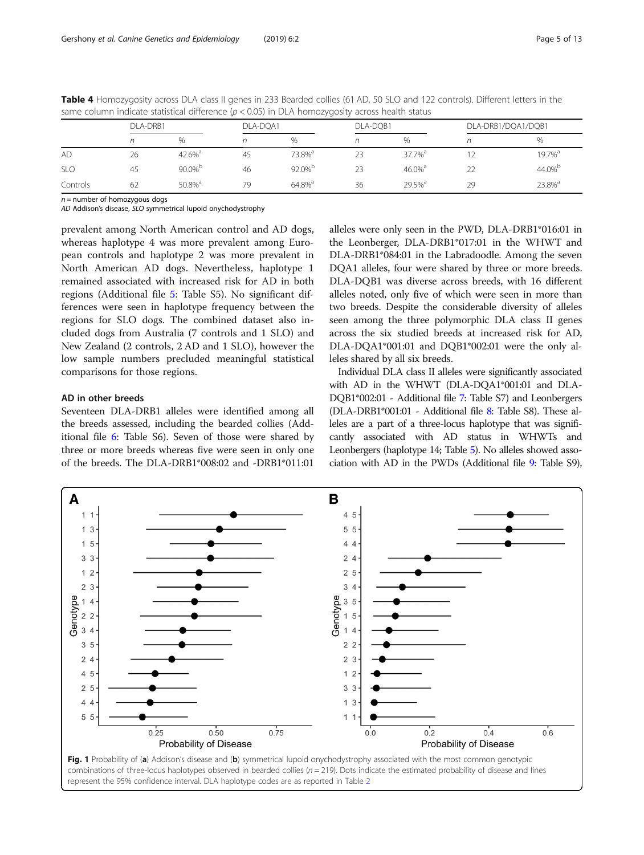|            | DLA-DRB1 |                       | DLA-DQA1 |                       | DLA-DOB1 |                       | DLA-DRB1/DQA1/DQB1 |                    |
|------------|----------|-----------------------|----------|-----------------------|----------|-----------------------|--------------------|--------------------|
|            |          | %                     |          | %                     |          | $\frac{0}{0}$         |                    | $\%$               |
| AD         | 26       | 42.6% <sup>a</sup>    | 45       | 73.8% <sup>a</sup>    | วว       | 37.7% <sup>a</sup>    |                    | 19.7% <sup>a</sup> |
| <b>SLO</b> | 45       | $90.0\%$ <sup>b</sup> | 46       | $92.0\%$ <sup>b</sup> | つつ       | $46.0\%$ <sup>a</sup> | $\sim$ $\sim$      | 44.0% <sup>b</sup> |
| Controls   | 62       | $50.8\%$ <sup>a</sup> | 79       | $64.8\%$ <sup>a</sup> | 36       | 29.5% <sup>a</sup>    | 29                 | 23.8% <sup>a</sup> |

Table 4 Homozygosity across DLA class II genes in 233 Bearded collies (61 AD, 50 SLO and 122 controls). Different letters in the same column indicate statistical difference ( $p < 0.05$ ) in DLA homozygosity across health status

 $n =$  number of homozygous dogs

AD Addison's disease, SLO symmetrical lupoid onychodystrophy

prevalent among North American control and AD dogs, whereas haplotype 4 was more prevalent among European controls and haplotype 2 was more prevalent in North American AD dogs. Nevertheless, haplotype 1 remained associated with increased risk for AD in both regions (Additional file 5: Table S5). No significant differences were seen in haplotype frequency between the regions for SLO dogs. The combined dataset also included dogs from Australia (7 controls and 1 SLO) and New Zealand (2 controls, 2 AD and 1 SLO), however the low sample numbers precluded meaningful statistical comparisons for those regions.

# AD in other breeds

Seventeen DLA-DRB1 alleles were identified among all the breeds assessed, including the bearded collies (Additional file 6: Table S6). Seven of those were shared by three or more breeds whereas five were seen in only one of the breeds. The DLA-DRB1\*008:02 and -DRB1\*011:01 alleles were only seen in the PWD, DLA-DRB1\*016:01 in the Leonberger, DLA-DRB1\*017:01 in the WHWT and DLA-DRB1\*084:01 in the Labradoodle. Among the seven DQA1 alleles, four were shared by three or more breeds. DLA-DQB1 was diverse across breeds, with 16 different alleles noted, only five of which were seen in more than two breeds. Despite the considerable diversity of alleles seen among the three polymorphic DLA class II genes across the six studied breeds at increased risk for AD, DLA-DQA1\*001:01 and DQB1\*002:01 were the only alleles shared by all six breeds.

Individual DLA class II alleles were significantly associated with AD in the WHWT (DLA-DQA1\*001:01 and DLA-DQB1\*002:01 - Additional file 7: Table S7) and Leonbergers (DLA-DRB1\*001:01 - Additional file 8: Table S8). These alleles are a part of a three-locus haplotype that was significantly associated with AD status in WHWTs and Leonbergers (haplotype 14; Table 5). No alleles showed association with AD in the PWDs (Additional file 9: Table S9),

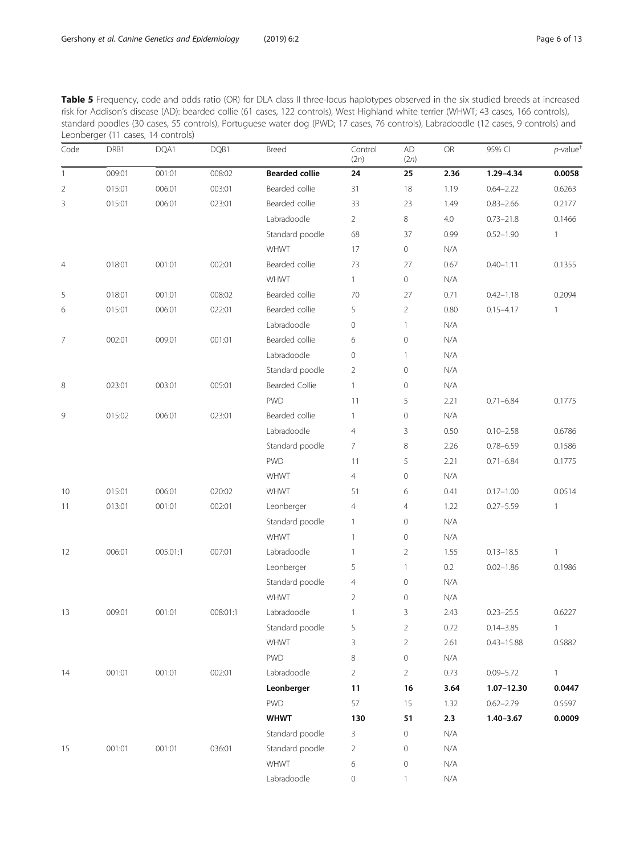Table 5 Frequency, code and odds ratio (OR) for DLA class II three-locus haplotypes observed in the six studied breeds at increased risk for Addison's disease (AD): bearded collie (61 cases, 122 controls), West Highland white terrier (WHWT; 43 cases, 166 controls), standard poodles (30 cases, 55 controls), Portuguese water dog (PWD; 17 cases, 76 controls), Labradoodle (12 cases, 9 controls) and Leonberger (11 cases, 14 controls)

| Code           | DRB1   | DQA1     | DQB1     | Breed                 | Control<br>(2n) | AD<br>(2n)     | OR   | 95% CI         | $p$ -value <sup>†</sup> |
|----------------|--------|----------|----------|-----------------------|-----------------|----------------|------|----------------|-------------------------|
| 1              | 009:01 | 001:01   | 008:02   | <b>Bearded collie</b> | 24              | 25             | 2.36 | 1.29-4.34      | 0.0058                  |
| $\overline{2}$ | 015:01 | 006:01   | 003:01   | Bearded collie        | 31              | 18             | 1.19 | $0.64 - 2.22$  | 0.6263                  |
| 3              | 015:01 | 006:01   | 023:01   | Bearded collie        | 33              | 23             | 1.49 | $0.83 - 2.66$  | 0.2177                  |
|                |        |          |          | Labradoodle           | $\overline{2}$  | 8              | 4.0  | $0.73 - 21.8$  | 0.1466                  |
|                |        |          |          | Standard poodle       | 68              | 37             | 0.99 | $0.52 - 1.90$  | 1                       |
|                |        |          |          | WHWT                  | 17              | $\mathbf 0$    | N/A  |                |                         |
| 4              | 018:01 | 001:01   | 002:01   | Bearded collie        | 73              | 27             | 0.67 | $0.40 - 1.11$  | 0.1355                  |
|                |        |          |          | WHWT                  | $\mathbf{1}$    | $\mathbf 0$    | N/A  |                |                         |
| 5              | 018:01 | 001:01   | 008:02   | Bearded collie        | 70              | 27             | 0.71 | $0.42 - 1.18$  | 0.2094                  |
| 6              | 015:01 | 006:01   | 022:01   | Bearded collie        | 5               | $\overline{2}$ | 0.80 | $0.15 - 4.17$  | 1                       |
|                |        |          |          | Labradoodle           | $\mathbf 0$     | $\mathbf{1}$   | N/A  |                |                         |
| 7              | 002:01 | 009:01   | 001:01   | Bearded collie        | 6               | $\mathbb O$    | N/A  |                |                         |
|                |        |          |          | Labradoodle           | $\mathbf 0$     | $\mathbf{1}$   | N/A  |                |                         |
|                |        |          |          | Standard poodle       | $\overline{2}$  | 0              | N/A  |                |                         |
| 8              | 023:01 | 003:01   | 005:01   | <b>Bearded Collie</b> | $\mathbf{1}$    | $\mathbb O$    | N/A  |                |                         |
|                |        |          |          | PWD                   | 11              | 5              | 2.21 | $0.71 - 6.84$  | 0.1775                  |
| 9              | 015:02 | 006:01   | 023:01   | Bearded collie        | $\mathbf{1}$    | $\mathbf 0$    | N/A  |                |                         |
|                |        |          |          | Labradoodle           | $\overline{4}$  | 3              | 0.50 | $0.10 - 2.58$  | 0.6786                  |
|                |        |          |          | Standard poodle       | 7               | 8              | 2.26 | $0.78 - 6.59$  | 0.1586                  |
|                |        |          |          | PWD                   | 11              | 5              | 2.21 | $0.71 - 6.84$  | 0.1775                  |
|                |        |          |          | <b>WHWT</b>           | $\overline{4}$  | $\mathbf 0$    | N/A  |                |                         |
| 10             | 015:01 | 006:01   | 020:02   | WHWT                  | 51              | 6              | 0.41 | $0.17 - 1.00$  | 0.0514                  |
| 11             | 013:01 | 001:01   | 002:01   | Leonberger            | $\overline{4}$  | $\overline{4}$ | 1.22 | $0.27 - 5.59$  | 1                       |
|                |        |          |          | Standard poodle       | $\mathbf{1}$    | $\mathbf 0$    | N/A  |                |                         |
|                |        |          |          | WHWT                  | $\mathbf{1}$    | $\mathbf 0$    | N/A  |                |                         |
| 12             | 006:01 | 005:01:1 | 007:01   | Labradoodle           | 1               | $\overline{2}$ | 1.55 | $0.13 - 18.5$  | 1                       |
|                |        |          |          | Leonberger            | 5               | $\mathbf{1}$   | 0.2  | $0.02 - 1.86$  | 0.1986                  |
|                |        |          |          | Standard poodle       | $\overline{4}$  | 0              | N/A  |                |                         |
|                |        |          |          | WHWT                  | $\overline{2}$  | $\mathbb O$    | N/A  |                |                         |
| 13             | 009:01 | 001:01   | 008:01:1 | Labradoodle           | $\mathbf{1}$    | 3              | 2.43 | $0.23 - 25.5$  | 0.6227                  |
|                |        |          |          | Standard poodle       | 5               | 2              | 0.72 | $0.14 - 3.85$  |                         |
|                |        |          |          | <b>WHWT</b>           | 3               | $\overline{2}$ | 2.61 | $0.43 - 15.88$ | 0.5882                  |
|                |        |          |          | <b>PWD</b>            | $\,8\,$         | $\mathbb O$    | N/A  |                |                         |
| 14             | 001:01 | 001:01   | 002:01   | Labradoodle           | $\overline{2}$  | $\overline{2}$ | 0.73 | $0.09 - 5.72$  | 1                       |
|                |        |          |          | Leonberger            | 11              | 16             | 3.64 | 1.07-12.30     | 0.0447                  |
|                |        |          |          | <b>PWD</b>            | 57              | 15             | 1.32 | $0.62 - 2.79$  | 0.5597                  |
|                |        |          |          | <b>WHWT</b>           | 130             | 51             | 2.3  | $1.40 - 3.67$  | 0.0009                  |
|                |        |          |          | Standard poodle       | 3               | $\mathbf 0$    | N/A  |                |                         |
| 15             | 001:01 | 001:01   | 036:01   | Standard poodle       | $\overline{2}$  | $\mathbb O$    | N/A  |                |                         |
|                |        |          |          | WHWT                  | 6               | $\mathbb O$    | N/A  |                |                         |
|                |        |          |          | Labradoodle           | $\circ$         | $\mathbf{1}$   | N/A  |                |                         |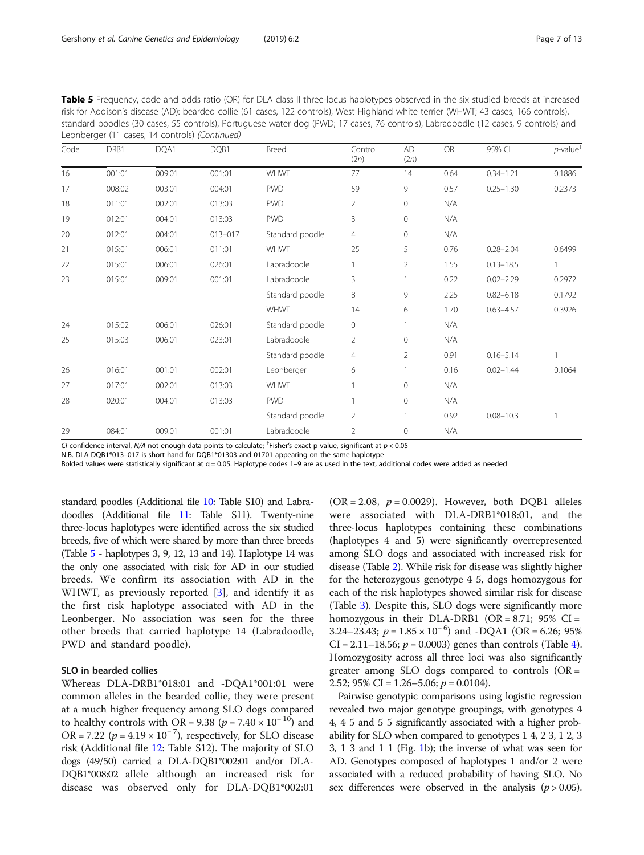| Table 5 Frequency, code and odds ratio (OR) for DLA class II three-locus haplotypes observed in the six studied breeds at increased   |
|---------------------------------------------------------------------------------------------------------------------------------------|
| risk for Addison's disease (AD): bearded collie (61 cases, 122 controls), West Highland white terrier (WHWT; 43 cases, 166 controls), |
| standard poodles (30 cases, 55 controls), Portuguese water dog (PWD; 17 cases, 76 controls), Labradoodle (12 cases, 9 controls) and   |
| Leonberger (11 cases, 14 controls) (Continued)                                                                                        |

| Code | DRB1   | DQA1   | DQB1        | Breed           | Control<br>(2n) | <b>AD</b><br>(2n) | <b>OR</b> | 95% CI        | $p$ -value <sup>†</sup> |
|------|--------|--------|-------------|-----------------|-----------------|-------------------|-----------|---------------|-------------------------|
| 16   | 001:01 | 009:01 | 001:01      | WHWT            | 77              | 14                | 0.64      | $0.34 - 1.21$ | 0.1886                  |
| 17   | 008:02 | 003:01 | 004:01      | <b>PWD</b>      | 59              | 9                 | 0.57      | $0.25 - 1.30$ | 0.2373                  |
| 18   | 011:01 | 002:01 | 013:03      | <b>PWD</b>      | $\overline{2}$  | 0                 | N/A       |               |                         |
| 19   | 012:01 | 004:01 | 013:03      | <b>PWD</b>      | 3               | 0                 | N/A       |               |                         |
| 20   | 012:01 | 004:01 | $013 - 017$ | Standard poodle | 4               | 0                 | N/A       |               |                         |
| 21   | 015:01 | 006:01 | 011:01      | <b>WHWT</b>     | 25              | 5                 | 0.76      | $0.28 - 2.04$ | 0.6499                  |
| 22   | 015:01 | 006:01 | 026:01      | Labradoodle     |                 | $\overline{2}$    | 1.55      | $0.13 - 18.5$ |                         |
| 23   | 015:01 | 009:01 | 001:01      | Labradoodle     | 3               |                   | 0.22      | $0.02 - 2.29$ | 0.2972                  |
|      |        |        |             | Standard poodle | 8               | 9                 | 2.25      | $0.82 - 6.18$ | 0.1792                  |
|      |        |        |             | WHWT            | 14              | 6                 | 1.70      | $0.63 - 4.57$ | 0.3926                  |
| 24   | 015:02 | 006:01 | 026:01      | Standard poodle | 0               |                   | N/A       |               |                         |
| 25   | 015:03 | 006:01 | 023:01      | Labradoodle     | 2               | 0                 | N/A       |               |                         |
|      |        |        |             | Standard poodle | 4               | $\overline{2}$    | 0.91      | $0.16 - 5.14$ |                         |
| 26   | 016:01 | 001:01 | 002:01      | Leonberger      | 6               |                   | 0.16      | $0.02 - 1.44$ | 0.1064                  |
| 27   | 017:01 | 002:01 | 013:03      | WHWT            | 1               | $\mathbf 0$       | N/A       |               |                         |
| 28   | 020:01 | 004:01 | 013:03      | <b>PWD</b>      |                 | 0                 | N/A       |               |                         |
|      |        |        |             | Standard poodle | 2               |                   | 0.92      | $0.08 - 10.3$ |                         |
| 29   | 084:01 | 009:01 | 001:01      | Labradoodle     | $\overline{2}$  | 0                 | N/A       |               |                         |

*CI* confidence interval, N/A not enough data points to calculate; <sup>†</sup>Fisher's exact p-value, significant at  $p$  < 0.05

N.B. DLA-DQB1\*013–017 is short hand for DQB1\*01303 and 01701 appearing on the same haplotype

Bolded values were statistically significant at α = 0.05. Haplotype codes 1–9 are as used in the text, additional codes were added as needed

standard poodles (Additional file 10: Table S10) and Labradoodles (Additional file 11: Table S11). Twenty-nine three-locus haplotypes were identified across the six studied breeds, five of which were shared by more than three breeds (Table 5 - haplotypes 3, 9, 12, 13 and 14). Haplotype 14 was the only one associated with risk for AD in our studied breeds. We confirm its association with AD in the WHWT, as previously reported [3], and identify it as the first risk haplotype associated with AD in the Leonberger. No association was seen for the three other breeds that carried haplotype 14 (Labradoodle, PWD and standard poodle).

# SLO in bearded collies

Whereas DLA-DRB1\*018:01 and -DQA1\*001:01 were common alleles in the bearded collie, they were present at a much higher frequency among SLO dogs compared to healthy controls with OR = 9.38 ( $p = 7.40 \times 10^{-10}$ ) and OR = 7.22 ( $p = 4.19 \times 10^{-7}$ ), respectively, for SLO disease risk (Additional file 12: Table S12). The majority of SLO dogs (49/50) carried a DLA-DQB1\*002:01 and/or DLA-DQB1\*008:02 allele although an increased risk for disease was observed only for DLA-DQB1\*002:01

 $(OR = 2.08, p = 0.0029)$ . However, both DQB1 alleles were associated with DLA-DRB1\*018:01, and the three-locus haplotypes containing these combinations (haplotypes 4 and 5) were significantly overrepresented among SLO dogs and associated with increased risk for disease (Table 2). While risk for disease was slightly higher for the heterozygous genotype 4 5, dogs homozygous for each of the risk haplotypes showed similar risk for disease (Table 3). Despite this, SLO dogs were significantly more homozygous in their DLA-DRB1 (OR = 8.71; 95%  $CI =$ 3.24–23.43;  $p = 1.85 \times 10^{-6}$ ) and -DQA1 (OR = 6.26; 95%  $CI = 2.11 - 18.56$ ;  $p = 0.0003$ ) genes than controls (Table 4). Homozygosity across all three loci was also significantly greater among SLO dogs compared to controls (OR = 2.52; 95% CI = 1.26–5.06;  $p = 0.0104$ ).

Pairwise genotypic comparisons using logistic regression revealed two major genotype groupings, with genotypes 4 4, 4 5 and 5 5 significantly associated with a higher probability for SLO when compared to genotypes 1 4, 2 3, 1 2, 3 3, 1 3 and 1 1 (Fig. 1b); the inverse of what was seen for AD. Genotypes composed of haplotypes 1 and/or 2 were associated with a reduced probability of having SLO. No sex differences were observed in the analysis  $(p > 0.05)$ .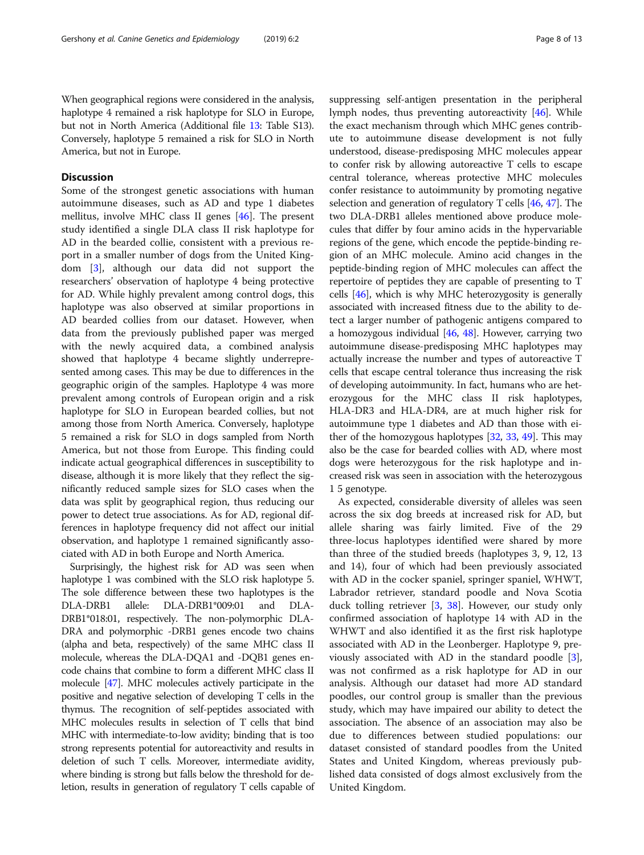When geographical regions were considered in the analysis, haplotype 4 remained a risk haplotype for SLO in Europe, but not in North America (Additional file 13: Table S13). Conversely, haplotype 5 remained a risk for SLO in North America, but not in Europe.

# **Discussion**

Some of the strongest genetic associations with human autoimmune diseases, such as AD and type 1 diabetes mellitus, involve MHC class II genes [46]. The present study identified a single DLA class II risk haplotype for AD in the bearded collie, consistent with a previous report in a smaller number of dogs from the United Kingdom [3], although our data did not support the researchers' observation of haplotype 4 being protective for AD. While highly prevalent among control dogs, this haplotype was also observed at similar proportions in AD bearded collies from our dataset. However, when data from the previously published paper was merged with the newly acquired data, a combined analysis showed that haplotype 4 became slightly underrepresented among cases. This may be due to differences in the geographic origin of the samples. Haplotype 4 was more prevalent among controls of European origin and a risk haplotype for SLO in European bearded collies, but not among those from North America. Conversely, haplotype 5 remained a risk for SLO in dogs sampled from North America, but not those from Europe. This finding could indicate actual geographical differences in susceptibility to disease, although it is more likely that they reflect the significantly reduced sample sizes for SLO cases when the data was split by geographical region, thus reducing our power to detect true associations. As for AD, regional differences in haplotype frequency did not affect our initial observation, and haplotype 1 remained significantly associated with AD in both Europe and North America.

Surprisingly, the highest risk for AD was seen when haplotype 1 was combined with the SLO risk haplotype 5. The sole difference between these two haplotypes is the DLA-DRB1 allele: DLA-DRB1\*009:01 and DLA-DRB1\*018:01, respectively. The non-polymorphic DLA-DRA and polymorphic -DRB1 genes encode two chains (alpha and beta, respectively) of the same MHC class II molecule, whereas the DLA-DQA1 and -DQB1 genes encode chains that combine to form a different MHC class II molecule [47]. MHC molecules actively participate in the positive and negative selection of developing T cells in the thymus. The recognition of self-peptides associated with MHC molecules results in selection of T cells that bind MHC with intermediate-to-low avidity; binding that is too strong represents potential for autoreactivity and results in deletion of such T cells. Moreover, intermediate avidity, where binding is strong but falls below the threshold for deletion, results in generation of regulatory T cells capable of suppressing self-antigen presentation in the peripheral lymph nodes, thus preventing autoreactivity [46]. While the exact mechanism through which MHC genes contribute to autoimmune disease development is not fully understood, disease-predisposing MHC molecules appear to confer risk by allowing autoreactive T cells to escape central tolerance, whereas protective MHC molecules confer resistance to autoimmunity by promoting negative selection and generation of regulatory T cells [46, 47]. The two DLA-DRB1 alleles mentioned above produce molecules that differ by four amino acids in the hypervariable regions of the gene, which encode the peptide-binding region of an MHC molecule. Amino acid changes in the peptide-binding region of MHC molecules can affect the repertoire of peptides they are capable of presenting to T cells [46], which is why MHC heterozygosity is generally associated with increased fitness due to the ability to detect a larger number of pathogenic antigens compared to a homozygous individual [46, 48]. However, carrying two autoimmune disease-predisposing MHC haplotypes may actually increase the number and types of autoreactive T cells that escape central tolerance thus increasing the risk of developing autoimmunity. In fact, humans who are heterozygous for the MHC class II risk haplotypes, HLA-DR3 and HLA-DR4, are at much higher risk for autoimmune type 1 diabetes and AD than those with either of the homozygous haplotypes [32, 33, 49]. This may also be the case for bearded collies with AD, where most dogs were heterozygous for the risk haplotype and increased risk was seen in association with the heterozygous 1 5 genotype.

As expected, considerable diversity of alleles was seen across the six dog breeds at increased risk for AD, but allele sharing was fairly limited. Five of the 29 three-locus haplotypes identified were shared by more than three of the studied breeds (haplotypes 3, 9, 12, 13 and 14), four of which had been previously associated with AD in the cocker spaniel, springer spaniel, WHWT, Labrador retriever, standard poodle and Nova Scotia duck tolling retriever [3, 38]. However, our study only confirmed association of haplotype 14 with AD in the WHWT and also identified it as the first risk haplotype associated with AD in the Leonberger. Haplotype 9, previously associated with AD in the standard poodle [3], was not confirmed as a risk haplotype for AD in our analysis. Although our dataset had more AD standard poodles, our control group is smaller than the previous study, which may have impaired our ability to detect the association. The absence of an association may also be due to differences between studied populations: our dataset consisted of standard poodles from the United States and United Kingdom, whereas previously published data consisted of dogs almost exclusively from the United Kingdom.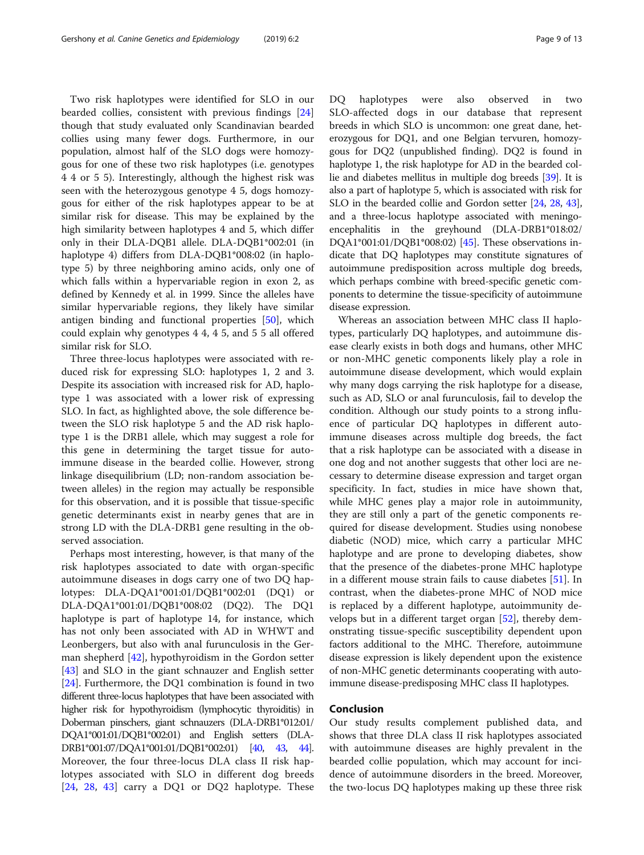Two risk haplotypes were identified for SLO in our bearded collies, consistent with previous findings [24] though that study evaluated only Scandinavian bearded collies using many fewer dogs. Furthermore, in our population, almost half of the SLO dogs were homozygous for one of these two risk haplotypes (i.e. genotypes 4 4 or 5 5). Interestingly, although the highest risk was seen with the heterozygous genotype 4 5, dogs homozygous for either of the risk haplotypes appear to be at similar risk for disease. This may be explained by the high similarity between haplotypes 4 and 5, which differ only in their DLA-DQB1 allele. DLA-DQB1\*002:01 (in haplotype 4) differs from DLA-DQB1\*008:02 (in haplotype 5) by three neighboring amino acids, only one of which falls within a hypervariable region in exon 2, as defined by Kennedy et al. in 1999. Since the alleles have similar hypervariable regions, they likely have similar antigen binding and functional properties [50], which could explain why genotypes 4 4, 4 5, and 5 5 all offered similar risk for SLO.

Three three-locus haplotypes were associated with reduced risk for expressing SLO: haplotypes 1, 2 and 3. Despite its association with increased risk for AD, haplotype 1 was associated with a lower risk of expressing SLO. In fact, as highlighted above, the sole difference between the SLO risk haplotype 5 and the AD risk haplotype 1 is the DRB1 allele, which may suggest a role for this gene in determining the target tissue for autoimmune disease in the bearded collie. However, strong linkage disequilibrium (LD; non-random association between alleles) in the region may actually be responsible for this observation, and it is possible that tissue-specific genetic determinants exist in nearby genes that are in strong LD with the DLA-DRB1 gene resulting in the observed association.

Perhaps most interesting, however, is that many of the risk haplotypes associated to date with organ-specific autoimmune diseases in dogs carry one of two DQ haplotypes: DLA-DQA1\*001:01/DQB1\*002:01 (DQ1) or DLA-DQA1\*001:01/DQB1\*008:02 (DQ2). The DQ1 haplotype is part of haplotype 14, for instance, which has not only been associated with AD in WHWT and Leonbergers, but also with anal furunculosis in the German shepherd [42], hypothyroidism in the Gordon setter [43] and SLO in the giant schnauzer and English setter [24]. Furthermore, the DQ1 combination is found in two different three-locus haplotypes that have been associated with higher risk for hypothyroidism (lymphocytic thyroiditis) in Doberman pinschers, giant schnauzers (DLA-DRB1\*012:01/ DQA1\*001:01/DQB1\*002:01) and English setters (DLA-DRB1\*001:07/DQA1\*001:01/DQB1\*002:01) [40, 43, 44]. Moreover, the four three-locus DLA class II risk haplotypes associated with SLO in different dog breeds [24, 28, 43] carry a DQ1 or DQ2 haplotype. These DQ haplotypes were also observed in two SLO-affected dogs in our database that represent breeds in which SLO is uncommon: one great dane, heterozygous for DQ1, and one Belgian tervuren, homozygous for DQ2 (unpublished finding). DQ2 is found in haplotype 1, the risk haplotype for AD in the bearded collie and diabetes mellitus in multiple dog breeds [39]. It is also a part of haplotype 5, which is associated with risk for SLO in the bearded collie and Gordon setter [24, 28, 43], and a three-locus haplotype associated with meningoencephalitis in the greyhound (DLA-DRB1\*018:02/ DQA1\*001:01/DQB1\*008:02) [45]. These observations indicate that DQ haplotypes may constitute signatures of autoimmune predisposition across multiple dog breeds, which perhaps combine with breed-specific genetic components to determine the tissue-specificity of autoimmune disease expression.

Whereas an association between MHC class II haplotypes, particularly DQ haplotypes, and autoimmune disease clearly exists in both dogs and humans, other MHC or non-MHC genetic components likely play a role in autoimmune disease development, which would explain why many dogs carrying the risk haplotype for a disease, such as AD, SLO or anal furunculosis, fail to develop the condition. Although our study points to a strong influence of particular DQ haplotypes in different autoimmune diseases across multiple dog breeds, the fact that a risk haplotype can be associated with a disease in one dog and not another suggests that other loci are necessary to determine disease expression and target organ specificity. In fact, studies in mice have shown that, while MHC genes play a major role in autoimmunity, they are still only a part of the genetic components required for disease development. Studies using nonobese diabetic (NOD) mice, which carry a particular MHC haplotype and are prone to developing diabetes, show that the presence of the diabetes-prone MHC haplotype in a different mouse strain fails to cause diabetes [51]. In contrast, when the diabetes-prone MHC of NOD mice is replaced by a different haplotype, autoimmunity develops but in a different target organ [52], thereby demonstrating tissue-specific susceptibility dependent upon factors additional to the MHC. Therefore, autoimmune disease expression is likely dependent upon the existence of non-MHC genetic determinants cooperating with autoimmune disease-predisposing MHC class II haplotypes.

# Conclusion

Our study results complement published data, and shows that three DLA class II risk haplotypes associated with autoimmune diseases are highly prevalent in the bearded collie population, which may account for incidence of autoimmune disorders in the breed. Moreover, the two-locus DQ haplotypes making up these three risk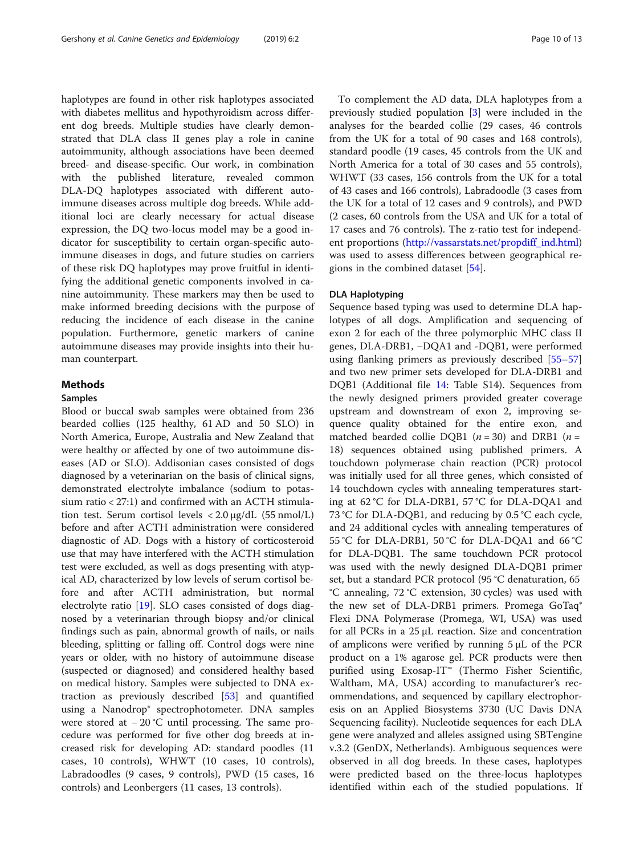haplotypes are found in other risk haplotypes associated with diabetes mellitus and hypothyroidism across different dog breeds. Multiple studies have clearly demonstrated that DLA class II genes play a role in canine autoimmunity, although associations have been deemed breed- and disease-specific. Our work, in combination with the published literature, revealed common DLA-DQ haplotypes associated with different autoimmune diseases across multiple dog breeds. While additional loci are clearly necessary for actual disease expression, the DQ two-locus model may be a good indicator for susceptibility to certain organ-specific autoimmune diseases in dogs, and future studies on carriers of these risk DQ haplotypes may prove fruitful in identifying the additional genetic components involved in canine autoimmunity. These markers may then be used to make informed breeding decisions with the purpose of reducing the incidence of each disease in the canine population. Furthermore, genetic markers of canine autoimmune diseases may provide insights into their human counterpart.

# Methods

#### Samples

Blood or buccal swab samples were obtained from 236 bearded collies (125 healthy, 61 AD and 50 SLO) in North America, Europe, Australia and New Zealand that were healthy or affected by one of two autoimmune diseases (AD or SLO). Addisonian cases consisted of dogs diagnosed by a veterinarian on the basis of clinical signs, demonstrated electrolyte imbalance (sodium to potassium ratio < 27:1) and confirmed with an ACTH stimulation test. Serum cortisol levels < 2.0 μg/dL (55 nmol/L) before and after ACTH administration were considered diagnostic of AD. Dogs with a history of corticosteroid use that may have interfered with the ACTH stimulation test were excluded, as well as dogs presenting with atypical AD, characterized by low levels of serum cortisol before and after ACTH administration, but normal electrolyte ratio [19]. SLO cases consisted of dogs diagnosed by a veterinarian through biopsy and/or clinical findings such as pain, abnormal growth of nails, or nails bleeding, splitting or falling off. Control dogs were nine years or older, with no history of autoimmune disease (suspected or diagnosed) and considered healthy based on medical history. Samples were subjected to DNA extraction as previously described [53] and quantified using a Nanodrop® spectrophotometer. DNA samples were stored at − 20 °C until processing. The same procedure was performed for five other dog breeds at increased risk for developing AD: standard poodles (11 cases, 10 controls), WHWT (10 cases, 10 controls), Labradoodles (9 cases, 9 controls), PWD (15 cases, 16 controls) and Leonbergers (11 cases, 13 controls).

To complement the AD data, DLA haplotypes from a previously studied population [3] were included in the analyses for the bearded collie (29 cases, 46 controls from the UK for a total of 90 cases and 168 controls), standard poodle (19 cases, 45 controls from the UK and North America for a total of 30 cases and 55 controls), WHWT (33 cases, 156 controls from the UK for a total of 43 cases and 166 controls), Labradoodle (3 cases from the UK for a total of 12 cases and 9 controls), and PWD (2 cases, 60 controls from the USA and UK for a total of 17 cases and 76 controls). The z-ratio test for independent proportions [\(http://vassarstats.net/propdiff\\_ind.html](http://vassarstats.net/propdiff_ind.html)) was used to assess differences between geographical regions in the combined dataset [54].

# DLA Haplotyping

Sequence based typing was used to determine DLA haplotypes of all dogs. Amplification and sequencing of exon 2 for each of the three polymorphic MHC class II genes, DLA-DRB1, −DQA1 and -DQB1, were performed using flanking primers as previously described [55–57] and two new primer sets developed for DLA-DRB1 and DQB1 (Additional file 14: Table S14). Sequences from the newly designed primers provided greater coverage upstream and downstream of exon 2, improving sequence quality obtained for the entire exon, and matched bearded collie DQB1 ( $n = 30$ ) and DRB1 ( $n =$ 18) sequences obtained using published primers. A touchdown polymerase chain reaction (PCR) protocol was initially used for all three genes, which consisted of 14 touchdown cycles with annealing temperatures starting at 62 °C for DLA-DRB1, 57 °C for DLA-DQA1 and 73 °C for DLA-DQB1, and reducing by 0.5 °C each cycle, and 24 additional cycles with annealing temperatures of 55 °C for DLA-DRB1, 50 °C for DLA-DQA1 and 66 °C for DLA-DQB1. The same touchdown PCR protocol was used with the newly designed DLA-DQB1 primer set, but a standard PCR protocol (95 °C denaturation, 65 °C annealing, 72 °C extension, 30 cycles) was used with the new set of DLA-DRB1 primers. Promega GoTaq® Flexi DNA Polymerase (Promega, WI, USA) was used for all PCRs in a 25 μL reaction. Size and concentration of amplicons were verified by running 5 μL of the PCR product on a 1% agarose gel. PCR products were then purified using Exosap-IT<sup>™</sup> (Thermo Fisher Scientific, Waltham, MA, USA) according to manufacturer's recommendations, and sequenced by capillary electrophoresis on an Applied Biosystems 3730 (UC Davis DNA Sequencing facility). Nucleotide sequences for each DLA gene were analyzed and alleles assigned using SBTengine v.3.2 (GenDX, Netherlands). Ambiguous sequences were observed in all dog breeds. In these cases, haplotypes were predicted based on the three-locus haplotypes identified within each of the studied populations. If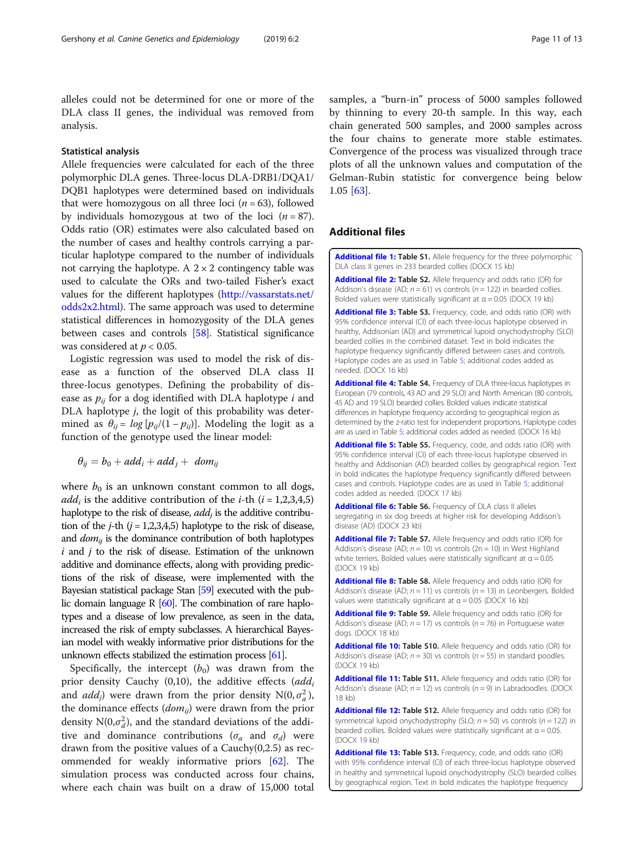alleles could not be determined for one or more of the DLA class II genes, the individual was removed from analysis.

# Statistical analysis

Allele frequencies were calculated for each of the three polymorphic DLA genes. Three-locus DLA-DRB1/DQA1/ DQB1 haplotypes were determined based on individuals that were homozygous on all three loci  $(n = 63)$ , followed by individuals homozygous at two of the loci  $(n = 87)$ . Odds ratio (OR) estimates were also calculated based on the number of cases and healthy controls carrying a particular haplotype compared to the number of individuals not carrying the haplotype. A  $2 \times 2$  contingency table was used to calculate the ORs and two-tailed Fisher's exact values for the different haplotypes ([http://vassarstats.net/](http://vassarstats.net/odds2x2.html) [odds2x2.html\)](http://vassarstats.net/odds2x2.html). The same approach was used to determine statistical differences in homozygosity of the DLA genes between cases and controls [58]. Statistical significance was considered at  $p < 0.05$ .

Logistic regression was used to model the risk of disease as a function of the observed DLA class II three-locus genotypes. Defining the probability of disease as  $p_{ii}$  for a dog identified with DLA haplotype i and DLA haplotype j, the logit of this probability was determined as  $\theta_{ii} = \log [p_{ii}/(1-p_{ii})]$ . Modeling the logit as a function of the genotype used the linear model:

# $\theta_{ij} = b_0 + add_i + add_j + dom_{ij}$

where  $b_0$  is an unknown constant common to all dogs, *add<sub>i</sub>* is the additive contribution of the *i*-th ( $i = 1,2,3,4,5$ ) haplotype to the risk of disease,  $add<sub>j</sub>$  is the additive contribution of the *j*-th  $(j = 1,2,3,4,5)$  haplotype to the risk of disease, and  $dom_{ii}$  is the dominance contribution of both haplotypes  $i$  and  $j$  to the risk of disease. Estimation of the unknown additive and dominance effects, along with providing predictions of the risk of disease, were implemented with the Bayesian statistical package Stan [59] executed with the public domain language R  $[60]$ . The combination of rare haplotypes and a disease of low prevalence, as seen in the data, increased the risk of empty subclasses. A hierarchical Bayesian model with weakly informative prior distributions for the unknown effects stabilized the estimation process [61].

Specifically, the intercept  $(b_0)$  was drawn from the prior density Cauchy  $(0,10)$ , the additive effects  $(add<sub>i</sub>)$ and  $add_j$ ) were drawn from the prior density  $N(0, \sigma_a^2)$ , the dominance effects  $(dom_{ii})$  were drawn from the prior density N(0, $\sigma_d^2$ ), and the standard deviations of the additive and dominance contributions ( $\sigma_a$  and  $\sigma_d$ ) were drawn from the positive values of a Cauchy $(0,2.5)$  as recommended for weakly informative priors [62]. The simulation process was conducted across four chains, where each chain was built on a draw of 15,000 total

samples, a "burn-in" process of 5000 samples followed by thinning to every 20-th sample. In this way, each chain generated 500 samples, and 2000 samples across the four chains to generate more stable estimates. Convergence of the process was visualized through trace plots of all the unknown values and computation of the Gelman-Rubin statistic for convergence being below 1.05 [63].

# Additional files

[Additional file 1:](https://doi.org/10.1186/s40575-019-0070-7) Table S1. Allele frequency for the three polymorphic DLA class II genes in 233 bearded collies (DOCX 15 kb)

[Additional file 2:](https://doi.org/10.1186/s40575-019-0070-7) Table S2. Allele frequency and odds ratio (OR) for Addison's disease (AD;  $n = 61$ ) vs controls ( $n = 122$ ) in bearded collies. Bolded values were statistically significant at  $\alpha = 0.05$  (DOCX 19 kb)

[Additional file 3:](https://doi.org/10.1186/s40575-019-0070-7) Table S3. Frequency, code, and odds ratio (OR) with 95% confidence interval (CI) of each three-locus haplotype observed in healthy, Addisonian (AD) and symmetrical lupoid onychodystrophy (SLO) bearded collies in the combined dataset. Text in bold indicates the haplotype frequency significantly differed between cases and controls. Haplotype codes are as used in Table 5; additional codes added as needed. (DOCX 16 kb)

[Additional file 4:](https://doi.org/10.1186/s40575-019-0070-7) Table S4. Frequency of DLA three-locus haplotypes in European (79 controls, 43 AD and 29 SLO) and North American (80 controls, 45 AD and 19 SLO) bearded collies. Bolded values indicate statistical differences in haplotype frequency according to geographical region as determined by the z-ratio test for independent proportions. Haplotype codes are as used in Table 5; additional codes added as needed. (DOCX 16 kb)

[Additional file 5:](https://doi.org/10.1186/s40575-019-0070-7) Table S5. Frequency, code, and odds ratio (OR) with 95% confidence interval (CI) of each three-locus haplotype observed in healthy and Addisonian (AD) bearded collies by geographical region. Text in bold indicates the haplotype frequency significantly differed between cases and controls. Haplotype codes are as used in Table 5; additional codes added as needed. (DOCX 17 kb)

[Additional file 6:](https://doi.org/10.1186/s40575-019-0070-7) Table S6. Frequency of DLA class II alleles segregating in six dog breeds at higher risk for developing Addison's disease (AD) (DOCX 23 kb)

[Additional file 7:](https://doi.org/10.1186/s40575-019-0070-7) Table S7. Allele frequency and odds ratio (OR) for Addison's disease (AD;  $n = 10$ ) vs controls (2n = 10) in West Highland white terriers. Bolded values were statistically significant at  $\alpha = 0.05$ (DOCX 19 kb)

[Additional file 8:](https://doi.org/10.1186/s40575-019-0070-7) Table S8. Allele frequency and odds ratio (OR) for Addison's disease (AD;  $n = 11$ ) vs controls ( $n = 13$ ) in Leonbergers. Bolded values were statistically significant at  $\alpha = 0.05$  (DOCX 16 kb)

[Additional file 9:](https://doi.org/10.1186/s40575-019-0070-7) Table S9. Allele frequency and odds ratio (OR) for Addison's disease (AD;  $n = 17$ ) vs controls ( $n = 76$ ) in Portuguese water dogs. (DOCX 18 kb)

[Additional file 10:](https://doi.org/10.1186/s40575-019-0070-7) Table S10. Allele frequency and odds ratio (OR) for Addison's disease (AD;  $n = 30$ ) vs controls ( $n = 55$ ) in standard poodles. (DOCX 19 kb)

[Additional file 11:](https://doi.org/10.1186/s40575-019-0070-7) Table S11. Allele frequency and odds ratio (OR) for Addison's disease (AD;  $n = 12$ ) vs controls ( $n = 9$ ) in Labradoodles. (DOCX 18 kb)

[Additional file 12:](https://doi.org/10.1186/s40575-019-0070-7) Table S12. Allele frequency and odds ratio (OR) for symmetrical lupoid onychodystrophy (SLO;  $n = 50$ ) vs controls ( $n = 122$ ) in bearded collies. Bolded values were statistically significant at  $\alpha = 0.05$ . (DOCX 19 kb)

[Additional file 13:](https://doi.org/10.1186/s40575-019-0070-7) Table S13. Frequency, code, and odds ratio (OR) with 95% confidence interval (CI) of each three-locus haplotype observed in healthy and symmetrical lupoid onychodystrophy (SLO) bearded collies by geographical region. Text in bold indicates the haplotype frequency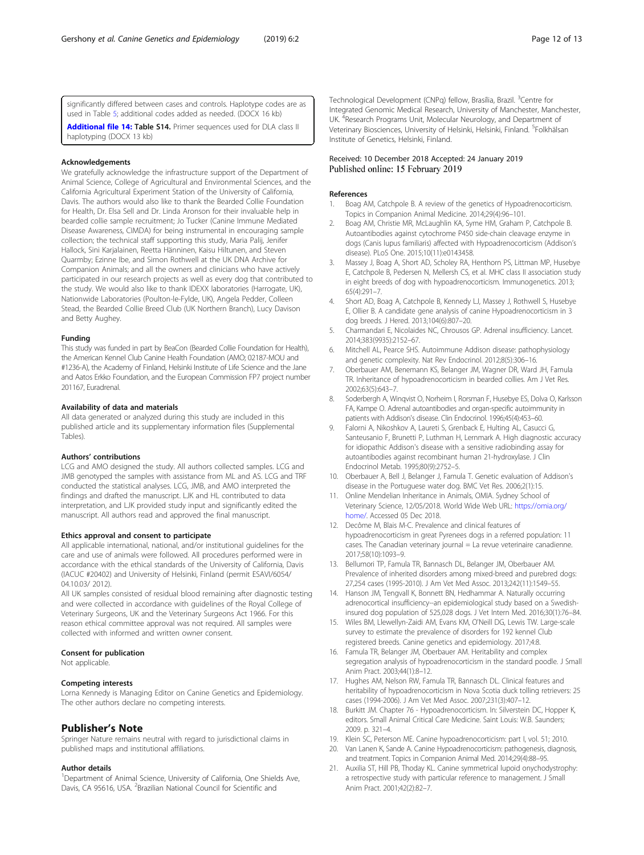significantly differed between cases and controls. Haplotype codes are as used in Table 5; additional codes added as needed. (DOCX 16 kb) [Additional file 14:](https://doi.org/10.1186/s40575-019-0070-7) Table S14. Primer sequences used for DLA class II haplotyping (DOCX 13 kb)

#### Acknowledgements

We gratefully acknowledge the infrastructure support of the Department of Animal Science, College of Agricultural and Environmental Sciences, and the California Agricultural Experiment Station of the University of California, Davis. The authors would also like to thank the Bearded Collie Foundation for Health, Dr. Elsa Sell and Dr. Linda Aronson for their invaluable help in bearded collie sample recruitment; Jo Tucker (Canine Immune Mediated Disease Awareness, CIMDA) for being instrumental in encouraging sample collection; the technical staff supporting this study, Maria Palij, Jenifer Hallock, Sini Karjalainen, Reetta Hänninen, Kaisu Hiltunen, and Steven Quarmby; Ezinne Ibe, and Simon Rothwell at the UK DNA Archive for Companion Animals; and all the owners and clinicians who have actively participated in our research projects as well as every dog that contributed to the study. We would also like to thank IDEXX laboratories (Harrogate, UK), Nationwide Laboratories (Poulton-le-Fylde, UK), Angela Pedder, Colleen Stead, the Bearded Collie Breed Club (UK Northern Branch), Lucy Davison and Betty Aughey.

#### Funding

This study was funded in part by BeaCon (Bearded Collie Foundation for Health), the American Kennel Club Canine Health Foundation (AMO; 02187-MOU and #1236-A), the Academy of Finland, Helsinki Institute of Life Science and the Jane and Aatos Erkko Foundation, and the European Commission FP7 project number 201167, Euradrenal.

#### Availability of data and materials

All data generated or analyzed during this study are included in this published article and its supplementary information files (Supplemental Tables).

#### Authors' contributions

LCG and AMO designed the study. All authors collected samples. LCG and JMB genotyped the samples with assistance from ML and AS. LCG and TRF conducted the statistical analyses. LCG, JMB, and AMO interpreted the findings and drafted the manuscript. LJK and HL contributed to data interpretation, and LJK provided study input and significantly edited the manuscript. All authors read and approved the final manuscript.

#### Ethics approval and consent to participate

All applicable international, national, and/or institutional guidelines for the care and use of animals were followed. All procedures performed were in accordance with the ethical standards of the University of California, Davis (IACUC #20402) and University of Helsinki, Finland (permit ESAVI/6054/ 04.10.03/ 2012).

All UK samples consisted of residual blood remaining after diagnostic testing and were collected in accordance with guidelines of the Royal College of Veterinary Surgeons, UK and the Veterinary Surgeons Act 1966. For this reason ethical committee approval was not required. All samples were collected with informed and written owner consent.

### Consent for publication

Not applicable.

#### Competing interests

Lorna Kennedy is Managing Editor on Canine Genetics and Epidemiology. The other authors declare no competing interests.

#### Publisher's Note

Springer Nature remains neutral with regard to jurisdictional claims in published maps and institutional affiliations.

#### Author details

<sup>1</sup>Department of Animal Science, University of California, One Shields Ave, Davis, CA 95616, USA. <sup>2</sup>Brazilian National Council for Scientific and

# Received: 10 December 2018 Accepted: 24 January 2019

### References

- Boag AM, Catchpole B. A review of the genetics of Hypoadrenocorticism. Topics in Companion Animal Medicine. 2014;29(4):96–101.
- 2. Boag AM, Christie MR, McLaughlin KA, Syme HM, Graham P, Catchpole B. Autoantibodies against cytochrome P450 side-chain cleavage enzyme in dogs (Canis lupus familiaris) affected with Hypoadrenocorticism (Addison's disease). PLoS One. 2015;10(11):e0143458.
- 3. Massey J, Boag A, Short AD, Scholey RA, Henthorn PS, Littman MP, Husebye E, Catchpole B, Pedersen N, Mellersh CS, et al. MHC class II association study in eight breeds of dog with hypoadrenocorticism. Immunogenetics. 2013; 65(4):291–7.
- Short AD, Boag A, Catchpole B, Kennedy LJ, Massey J, Rothwell S, Husebye E, Ollier B. A candidate gene analysis of canine Hypoadrenocorticism in 3 dog breeds. J Hered. 2013;104(6):807–20.
- 5. Charmandari E, Nicolaides NC, Chrousos GP. Adrenal insufficiency. Lancet. 2014;383(9935):2152–67.
- 6. Mitchell AL, Pearce SHS. Autoimmune Addison disease: pathophysiology and genetic complexity. Nat Rev Endocrinol. 2012;8(5):306–16.
- 7. Oberbauer AM, Benemann KS, Belanger JM, Wagner DR, Ward JH, Famula TR. Inheritance of hypoadrenocorticism in bearded collies. Am J Vet Res. 2002;63(5):643–7.
- 8. Soderbergh A, Winqvist O, Norheim I, Rorsman F, Husebye ES, Dolva O, Karlsson FA, Kampe O. Adrenal autoantibodies and organ-specific autoimmunity in patients with Addison's disease. Clin Endocrinol. 1996;45(4):453–60.
- 9. Falorni A, Nikoshkov A, Laureti S, Grenback E, Hulting AL, Casucci G, Santeusanio F, Brunetti P, Luthman H, Lernmark A. High diagnostic accuracy for idiopathic Addison's disease with a sensitive radiobinding assay for autoantibodies against recombinant human 21-hydroxylase. J Clin Endocrinol Metab. 1995;80(9):2752–5.
- 10. Oberbauer A, Bell J, Belanger J, Famula T. Genetic evaluation of Addison's disease in the Portuguese water dog. BMC Vet Res. 2006;2(1):15.
- 11. Online Mendelian Inheritance in Animals, OMIA. Sydney School of Veterinary Science, 12/05/2018. World Wide Web URL: [https://omia.org/](https://omia.org/home/) [home/.](https://omia.org/home/) Accessed 05 Dec 2018.
- 12. Decôme M, Blais M-C. Prevalence and clinical features of hypoadrenocorticism in great Pyrenees dogs in a referred population: 11 cases. The Canadian veterinary journal = La revue veterinaire canadienne. 2017;58(10):1093–9.
- 13. Bellumori TP, Famula TR, Bannasch DL, Belanger JM, Oberbauer AM. Prevalence of inherited disorders among mixed-breed and purebred dogs: 27,254 cases (1995-2010). J Am Vet Med Assoc. 2013;242(11):1549–55.
- 14. Hanson JM, Tengvall K, Bonnett BN, Hedhammar A. Naturally occurring adrenocortical insufficiency--an epidemiological study based on a Swedishinsured dog population of 525,028 dogs. J Vet Intern Med. 2016;30(1):76–84.
- 15. Wiles BM, Llewellyn-Zaidi AM, Evans KM, O'Neill DG, Lewis TW. Large-scale survey to estimate the prevalence of disorders for 192 kennel Club registered breeds. Canine genetics and epidemiology. 2017;4:8.
- 16. Famula TR, Belanger JM, Oberbauer AM. Heritability and complex segregation analysis of hypoadrenocorticism in the standard poodle. J Small Anim Pract. 2003;44(1):8–12.
- 17. Hughes AM, Nelson RW, Famula TR, Bannasch DL. Clinical features and heritability of hypoadrenocorticism in Nova Scotia duck tolling retrievers: 25 cases (1994-2006). J Am Vet Med Assoc. 2007;231(3):407–12.
- 18. Burkitt JM. Chapter 76 Hypoadrenocorticism. In: Silverstein DC, Hopper K, editors. Small Animal Critical Care Medicine. Saint Louis: W.B. Saunders; 2009. p. 321–4.
- 19. Klein SC, Peterson ME. Canine hypoadrenocorticism: part I, vol. 51; 2010.
- 20. Van Lanen K, Sande A. Canine Hypoadrenocorticism: pathogenesis, diagnosis, and treatment. Topics in Companion Animal Med. 2014;29(4):88–95.
- 21. Auxilia ST, Hill PB, Thoday KL. Canine symmetrical lupoid onychodystrophy: a retrospective study with particular reference to management. J Small Anim Pract. 2001;42(2):82–7.